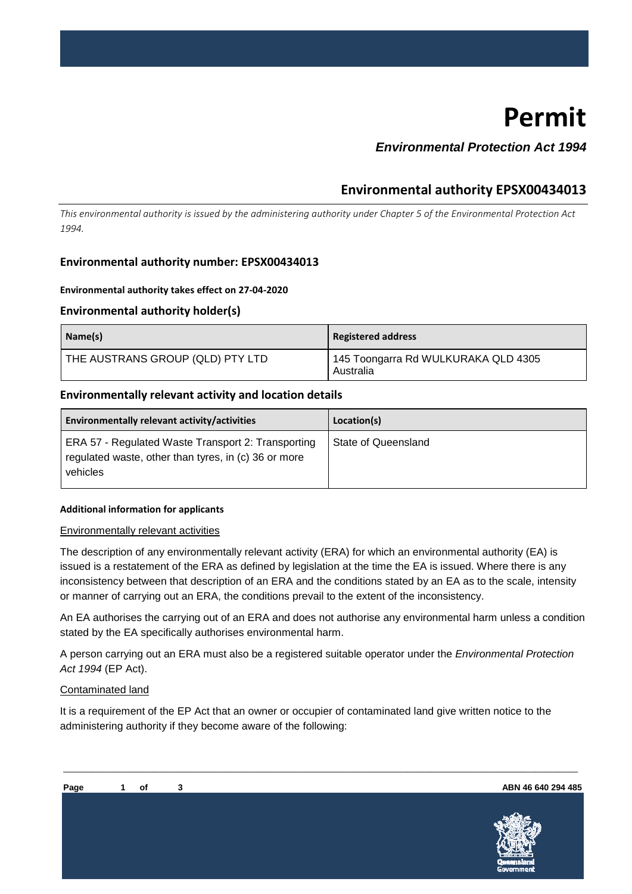# **Permit**

## *Environmental Protection Act 1994*

## **Environmental authority EPSX00434013**

*This environmental authority is issued by the administering authority under Chapter 5 of the Environmental Protection Act 1994.* 

#### **Environmental authority number: EPSX00434013**

#### **Environmental authority takes effect on 27-04-2020**

#### **Environmental authority holder(s)**

| Name(s)                          | Registered address                               |
|----------------------------------|--------------------------------------------------|
| THE AUSTRANS GROUP (QLD) PTY LTD | 145 Toongarra Rd WULKURAKA QLD 4305<br>Australia |

#### **Environmentally relevant activity and location details**

| Environmentally relevant activity/activities                                                                           | Location(s)         |
|------------------------------------------------------------------------------------------------------------------------|---------------------|
| ERA 57 - Regulated Waste Transport 2: Transporting<br>regulated waste, other than tyres, in (c) 36 or more<br>vehicles | State of Queensland |

#### **Additional information for applicants**

#### Environmentally relevant activities

The description of any environmentally relevant activity (ERA) for which an environmental authority (EA) is issued is a restatement of the ERA as defined by legislation at the time the EA is issued. Where there is any inconsistency between that description of an ERA and the conditions stated by an EA as to the scale, intensity or manner of carrying out an ERA, the conditions prevail to the extent of the inconsistency.

An EA authorises the carrying out of an ERA and does not authorise any environmental harm unless a condition stated by the EA specifically authorises environmental harm.

A person carrying out an ERA must also be a registered suitable operator under the *Environmental Protection Act 1994* (EP Act).

\_\_\_\_\_\_\_\_\_\_\_\_\_\_\_\_\_\_\_\_\_\_\_\_\_\_\_\_\_\_\_\_\_\_\_\_\_\_\_\_\_\_\_\_\_\_\_\_\_\_\_\_\_\_\_\_\_\_\_\_\_\_\_\_\_\_\_\_\_\_\_\_\_\_\_\_\_\_\_\_\_\_\_\_\_\_\_\_\_\_\_\_\_\_\_\_\_\_\_\_\_\_\_\_\_\_\_\_\_

#### Contaminated land

It is a requirement of the EP Act that an owner or occupier of contaminated land give written notice to the administering authority if they become aware of the following:

**ABN 46 640 294 485**

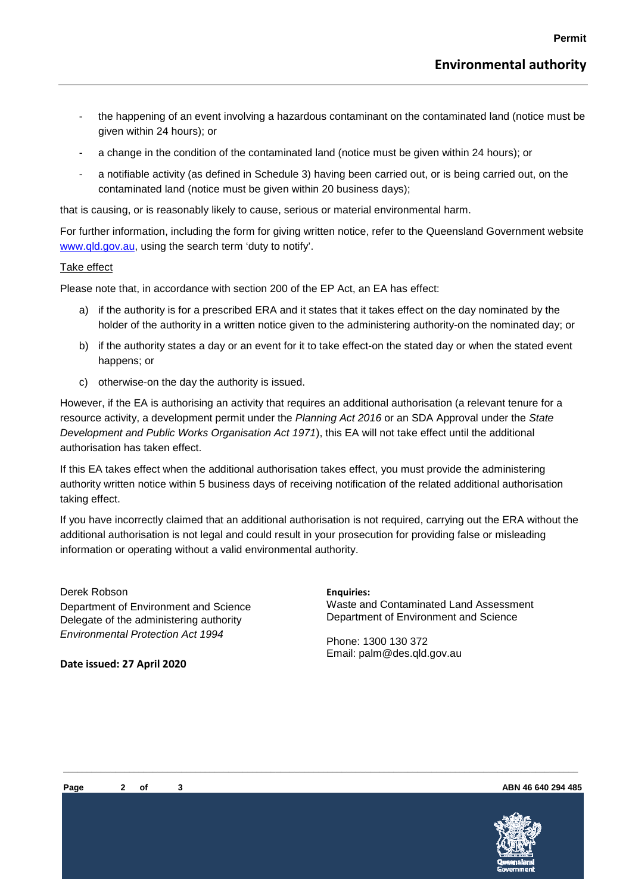- the happening of an event involving a hazardous contaminant on the contaminated land (notice must be given within 24 hours); or
- a change in the condition of the contaminated land (notice must be given within 24 hours); or
- a notifiable activity (as defined in Schedule 3) having been carried out, or is being carried out, on the contaminated land (notice must be given within 20 business days);

that is causing, or is reasonably likely to cause, serious or material environmental harm.

For further information, including the form for giving written notice, refer to the Queensland Government website [www.qld.gov.au,](http://www.qld.gov.au/) using the search term 'duty to notify'.

#### Take effect

Please note that, in accordance with section 200 of the EP Act, an EA has effect:

- a) if the authority is for a prescribed ERA and it states that it takes effect on the day nominated by the holder of the authority in a written notice given to the administering authority-on the nominated day; or
- b) if the authority states a day or an event for it to take effect-on the stated day or when the stated event happens; or
- c) otherwise-on the day the authority is issued.

However, if the EA is authorising an activity that requires an additional authorisation (a relevant tenure for a resource activity, a development permit under the *Planning Act 2016* or an SDA Approval under the *State Development and Public Works Organisation Act 1971*), this EA will not take effect until the additional authorisation has taken effect.

If this EA takes effect when the additional authorisation takes effect, you must provide the administering authority written notice within 5 business days of receiving notification of the related additional authorisation taking effect.

If you have incorrectly claimed that an additional authorisation is not required, carrying out the ERA without the additional authorisation is not legal and could result in your prosecution for providing false or misleading information or operating without a valid environmental authority.

\_\_\_\_\_\_\_\_\_\_\_\_\_\_\_\_\_\_\_\_\_\_\_\_\_\_\_\_\_\_\_\_\_\_\_\_\_\_\_\_\_\_\_\_\_\_\_\_\_\_\_\_\_\_\_\_\_\_\_\_\_\_\_\_\_\_\_\_\_\_\_\_\_\_\_\_\_\_\_\_\_\_\_\_\_\_\_\_\_\_\_\_\_\_\_\_\_\_\_\_\_\_\_\_\_\_\_\_\_

Derek Robson Department of Environment and Science Delegate of the administering authority *Environmental Protection Act 1994* 

**Date issued: 27 April 2020**

**Enquiries:**  Waste and Contaminated Land Assessment Department of Environment and Science

Phone: 1300 130 372 Email: palm@des.qld.gov.au



**ABN 46 640 294 485**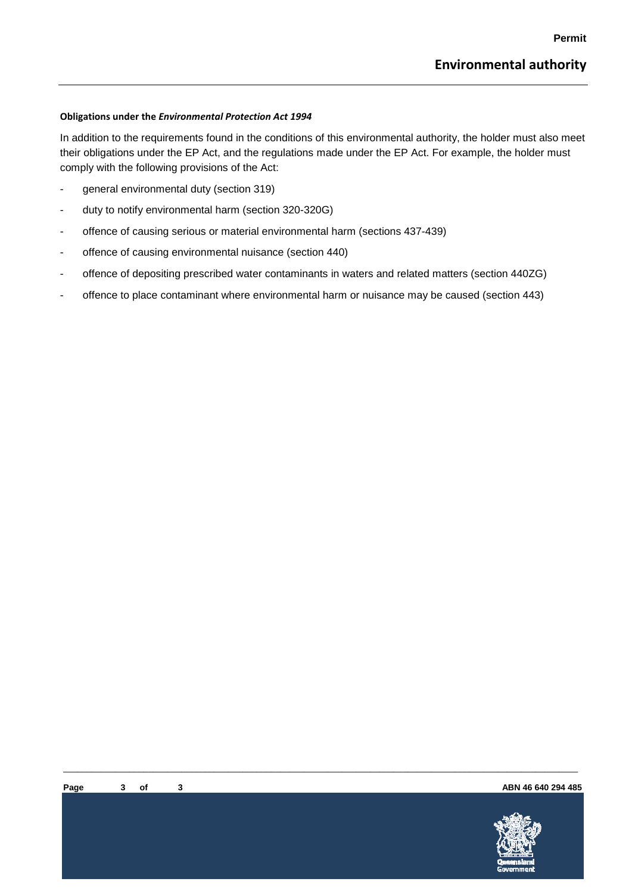#### **Obligations under the** *Environmental Protection Act 1994*

In addition to the requirements found in the conditions of this environmental authority, the holder must also meet their obligations under the EP Act, and the regulations made under the EP Act. For example, the holder must comply with the following provisions of the Act:

- general environmental duty (section 319)
- duty to notify environmental harm (section 320-320G)
- offence of causing serious or material environmental harm (sections 437-439)
- offence of causing environmental nuisance (section 440)
- offence of depositing prescribed water contaminants in waters and related matters (section 440ZG)
- offence to place contaminant where environmental harm or nuisance may be caused (section 443)

\_\_\_\_\_\_\_\_\_\_\_\_\_\_\_\_\_\_\_\_\_\_\_\_\_\_\_\_\_\_\_\_\_\_\_\_\_\_\_\_\_\_\_\_\_\_\_\_\_\_\_\_\_\_\_\_\_\_\_\_\_\_\_\_\_\_\_\_\_\_\_\_\_\_\_\_\_\_\_\_\_\_\_\_\_\_\_\_\_\_\_\_\_\_\_\_\_\_\_\_\_\_\_\_\_\_\_\_\_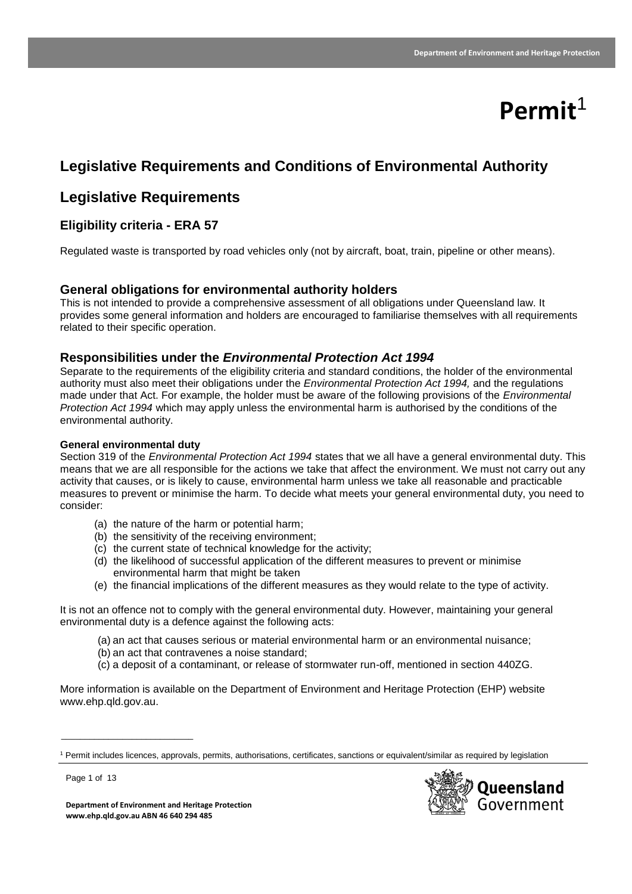# **Permit**<sup>1</sup>

# **Legislative Requirements and Conditions of Environmental Authority**

# **Legislative Requirements**

## **Eligibility criteria - ERA 57**

Regulated waste is transported by road vehicles only (not by aircraft, boat, train, pipeline or other means).

### **General obligations for environmental authority holders**

This is not intended to provide a comprehensive assessment of all obligations under Queensland law. It provides some general information and holders are encouraged to familiarise themselves with all requirements related to their specific operation.

#### **Responsibilities under the** *Environmental Protection Act 1994*

Separate to the requirements of the eligibility criteria and standard conditions, the holder of the environmental authority must also meet their obligations under the *Environmental Protection Act 1994,* and the regulations made under that Act. For example, the holder must be aware of the following provisions of the *Environmental Protection Act 1994* which may apply unless the environmental harm is authorised by the conditions of the environmental authority.

#### **General environmental duty**

Section 319 of the *Environmental Protection Act 1994* states that we all have a general environmental duty. This means that we are all responsible for the actions we take that affect the environment. We must not carry out any activity that causes, or is likely to cause, environmental harm unless we take all reasonable and practicable measures to prevent or minimise the harm. To decide what meets your general environmental duty, you need to consider:

- (a) the nature of the harm or potential harm;
- (b) the sensitivity of the receiving environment;
- (c) the current state of technical knowledge for the activity;
- (d) the likelihood of successful application of the different measures to prevent or minimise environmental harm that might be taken
- (e) the financial implications of the different measures as they would relate to the type of activity.

It is not an offence not to comply with the general environmental duty. However, maintaining your general environmental duty is a defence against the following acts:

- (a) an act that causes serious or material environmental harm or an environmental nuisance;
- (b) an act that contravenes a noise standard;
- (c) a deposit of a contaminant, or release of stormwater run-off, mentioned in section 440ZG.

More information is available on the Department of Environment and Heritage Protection (EHP) website www.ehp.qld.gov.au.

<sup>1</sup> Permit includes licences, approvals, permits, authorisations, certificates, sanctions or equivalent/similar as required by legislation



Page 1 of 13

\_\_\_\_\_\_\_\_\_\_\_\_\_\_\_\_\_\_\_\_\_\_\_\_\_\_\_\_

**Department of Environment and Heritage Protection www.ehp.qld.gov.au ABN 46 640 294 485**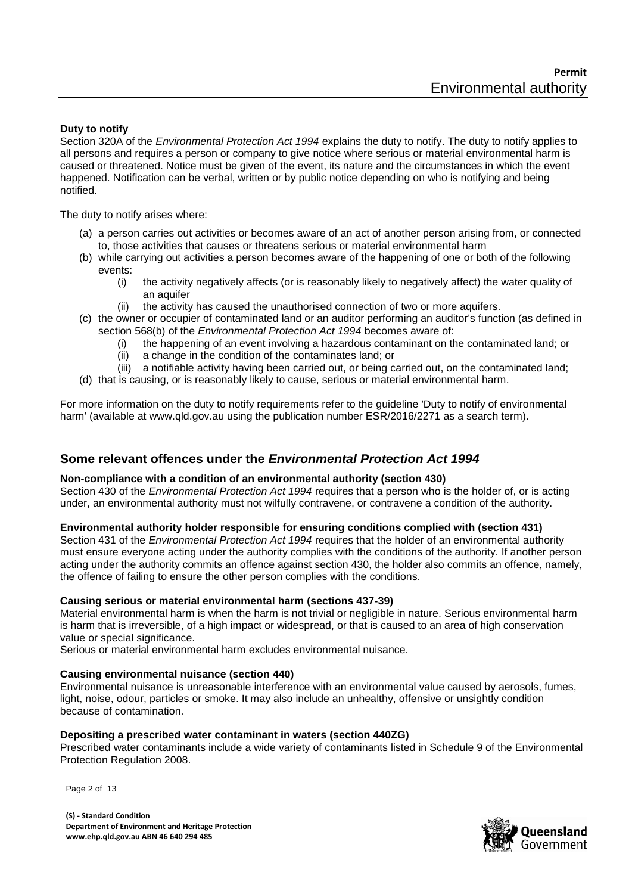#### **Duty to notify**

Section 320A of the *Environmental Protection Act 1994* explains the duty to notify. The duty to notify applies to all persons and requires a person or company to give notice where serious or material environmental harm is caused or threatened. Notice must be given of the event, its nature and the circumstances in which the event happened. Notification can be verbal, written or by public notice depending on who is notifying and being notified.

The duty to notify arises where:

- (a) a person carries out activities or becomes aware of an act of another person arising from, or connected to, those activities that causes or threatens serious or material environmental harm
- (b) while carrying out activities a person becomes aware of the happening of one or both of the following events:
	- (i) the activity negatively affects (or is reasonably likely to negatively affect) the water quality of an aquifer
	- (ii) the activity has caused the unauthorised connection of two or more aquifers.
- (c) the owner or occupier of contaminated land or an auditor performing an auditor's function (as defined in section 568(b) of the *Environmental Protection Act 1994* becomes aware of:
	- (i) the happening of an event involving a hazardous contaminant on the contaminated land; or
	- (ii) a change in the condition of the contaminates land; or
	- (iii) a notifiable activity having been carried out, or being carried out, on the contaminated land;
- (d) that is causing, or is reasonably likely to cause, serious or material environmental harm.

For more information on the duty to notify requirements refer to the guideline 'Duty to notify of environmental harm' (available at www.qld.gov.au using the publication number ESR/2016/2271 as a search term).

#### **Some relevant offences under the** *Environmental Protection Act 1994*

#### **Non-compliance with a condition of an environmental authority (section 430)**

Section 430 of the *Environmental Protection Act 1994* requires that a person who is the holder of, or is acting under, an environmental authority must not wilfully contravene, or contravene a condition of the authority.

#### **Environmental authority holder responsible for ensuring conditions complied with (section 431)**

Section 431 of the *Environmental Protection Act 1994* requires that the holder of an environmental authority must ensure everyone acting under the authority complies with the conditions of the authority. If another person acting under the authority commits an offence against section 430, the holder also commits an offence, namely, the offence of failing to ensure the other person complies with the conditions.

#### **Causing serious or material environmental harm (sections 437-39)**

Material environmental harm is when the harm is not trivial or negligible in nature. Serious environmental harm is harm that is irreversible, of a high impact or widespread, or that is caused to an area of high conservation value or special significance.

Serious or material environmental harm excludes environmental nuisance.

#### **Causing environmental nuisance (section 440)**

Environmental nuisance is unreasonable interference with an environmental value caused by aerosols, fumes, light, noise, odour, particles or smoke. It may also include an unhealthy, offensive or unsightly condition because of contamination.

#### **Depositing a prescribed water contaminant in waters (section 440ZG)**

Prescribed water contaminants include a wide variety of contaminants listed in Schedule 9 of the Environmental Protection Regulation 2008.

Page 2 of 13

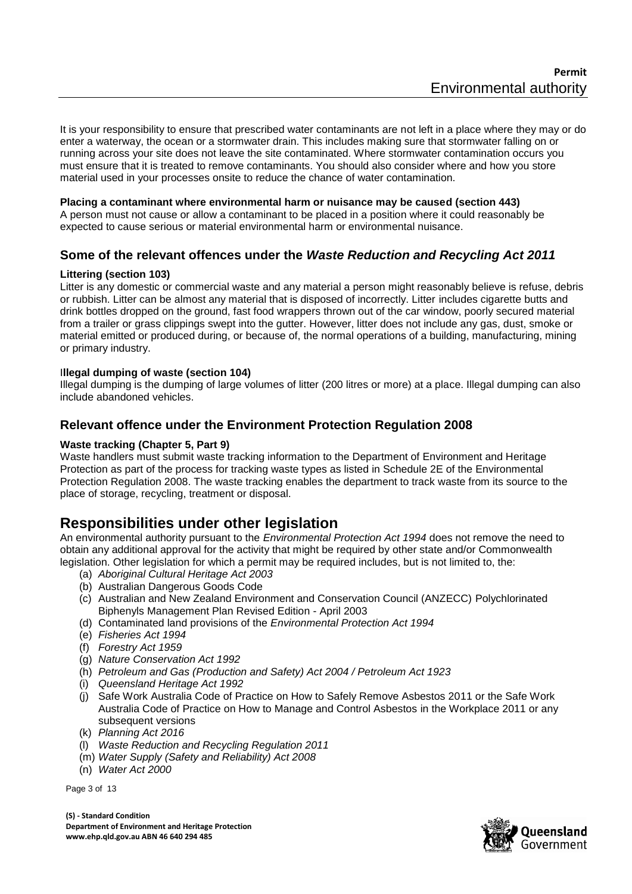It is your responsibility to ensure that prescribed water contaminants are not left in a place where they may or do enter a waterway, the ocean or a stormwater drain. This includes making sure that stormwater falling on or running across your site does not leave the site contaminated. Where stormwater contamination occurs you must ensure that it is treated to remove contaminants. You should also consider where and how you store material used in your processes onsite to reduce the chance of water contamination.

#### **Placing a contaminant where environmental harm or nuisance may be caused (section 443)**

A person must not cause or allow a contaminant to be placed in a position where it could reasonably be expected to cause serious or material environmental harm or environmental nuisance.

## **Some of the relevant offences under the** *Waste Reduction and Recycling Act 2011*

#### **Littering (section 103)**

Litter is any domestic or commercial waste and any material a person might reasonably believe is refuse, debris or rubbish. Litter can be almost any material that is disposed of incorrectly. Litter includes cigarette butts and drink bottles dropped on the ground, fast food wrappers thrown out of the car window, poorly secured material from a trailer or grass clippings swept into the gutter. However, litter does not include any gas, dust, smoke or material emitted or produced during, or because of, the normal operations of a building, manufacturing, mining or primary industry.

#### I**llegal dumping of waste (section 104)**

Illegal dumping is the dumping of large volumes of litter (200 litres or more) at a place. Illegal dumping can also include abandoned vehicles.

### **Relevant offence under the Environment Protection Regulation 2008**

#### **Waste tracking (Chapter 5, Part 9)**

Waste handlers must submit waste tracking information to the Department of Environment and Heritage Protection as part of the process for tracking waste types as listed in Schedule 2E of the Environmental Protection Regulation 2008. The waste tracking enables the department to track waste from its source to the place of storage, recycling, treatment or disposal.

## **Responsibilities under other legislation**

An environmental authority pursuant to the *Environmental Protection Act 1994* does not remove the need to obtain any additional approval for the activity that might be required by other state and/or Commonwealth legislation. Other legislation for which a permit may be required includes, but is not limited to, the:

- (a) *Aboriginal Cultural Heritage Act 2003*
- (b) Australian Dangerous Goods Code
- (c) Australian and New Zealand Environment and Conservation Council (ANZECC) Polychlorinated Biphenyls Management Plan Revised Edition - April 2003
- (d) Contaminated land provisions of the *Environmental Protection Act 1994*
- (e) *Fisheries Act 1994*
- (f) *Forestry Act 1959*
- (g) *Nature Conservation Act 1992*
- (h) *Petroleum and Gas (Production and Safety) Act 2004 / Petroleum Act 1923*
- (i) *Queensland Heritage Act 1992*
- (j) Safe Work Australia Code of Practice on How to Safely Remove Asbestos 2011 or the Safe Work Australia Code of Practice on How to Manage and Control Asbestos in the Workplace 2011 or any subsequent versions
- (k) *Planning Act 2016*
- (l) *Waste Reduction and Recycling Regulation 2011*
- (m) *Water Supply (Safety and Reliability) Act 2008*
- (n) *Water Act 2000*

Page 3 of 13

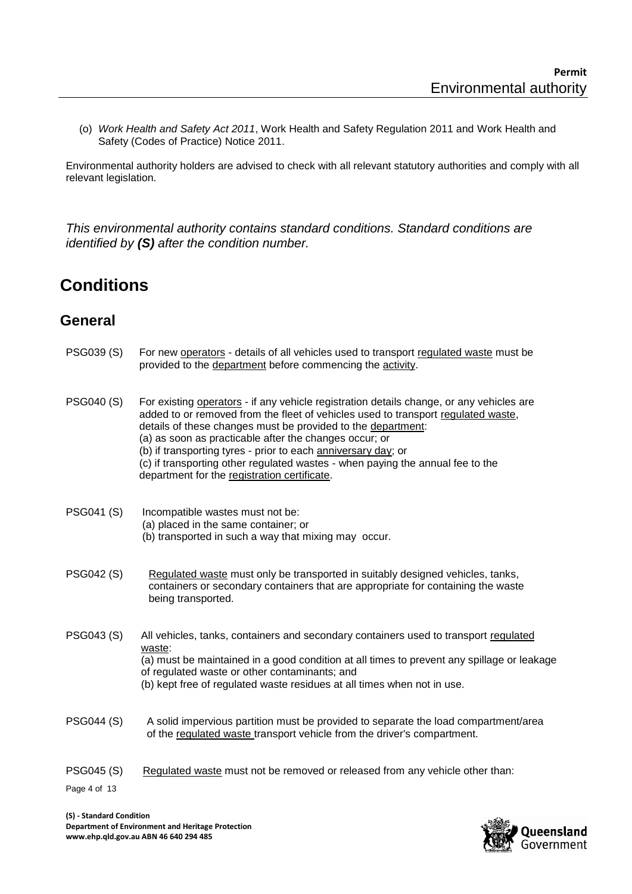(o) *Work Health and Safety Act 2011*, Work Health and Safety Regulation 2011 and Work Health and Safety (Codes of Practice) Notice 2011.

Environmental authority holders are advised to check with all relevant statutory authorities and comply with all relevant legislation.

*This environmental authority contains standard conditions. Standard conditions are identified by (S) after the condition number.*

# **Conditions**

# **General**

| PSG039 (S)                        | For new operators - details of all vehicles used to transport regulated waste must be<br>provided to the department before commencing the activity.                                                                                                                                                                                                                                                                                                                                                        |
|-----------------------------------|------------------------------------------------------------------------------------------------------------------------------------------------------------------------------------------------------------------------------------------------------------------------------------------------------------------------------------------------------------------------------------------------------------------------------------------------------------------------------------------------------------|
| <b>PSG040 (S)</b>                 | For existing operators - if any vehicle registration details change, or any vehicles are<br>added to or removed from the fleet of vehicles used to transport regulated waste,<br>details of these changes must be provided to the department:<br>(a) as soon as practicable after the changes occur; or<br>(b) if transporting tyres - prior to each anniversary day; or<br>(c) if transporting other regulated wastes - when paying the annual fee to the<br>department for the registration certificate. |
| PSG041 (S)                        | Incompatible wastes must not be:<br>(a) placed in the same container; or<br>(b) transported in such a way that mixing may occur.                                                                                                                                                                                                                                                                                                                                                                           |
| PSG042 (S)                        | Regulated waste must only be transported in suitably designed vehicles, tanks,<br>containers or secondary containers that are appropriate for containing the waste<br>being transported.                                                                                                                                                                                                                                                                                                                   |
| PSG043 (S)                        | All vehicles, tanks, containers and secondary containers used to transport regulated<br>waste:<br>(a) must be maintained in a good condition at all times to prevent any spillage or leakage<br>of regulated waste or other contaminants; and<br>(b) kept free of regulated waste residues at all times when not in use.                                                                                                                                                                                   |
| PSG044 (S)                        | A solid impervious partition must be provided to separate the load compartment/area<br>of the regulated waste transport vehicle from the driver's compartment.                                                                                                                                                                                                                                                                                                                                             |
| <b>PSG045 (S)</b><br>Page 4 of 13 | Regulated waste must not be removed or released from any vehicle other than:                                                                                                                                                                                                                                                                                                                                                                                                                               |
|                                   |                                                                                                                                                                                                                                                                                                                                                                                                                                                                                                            |

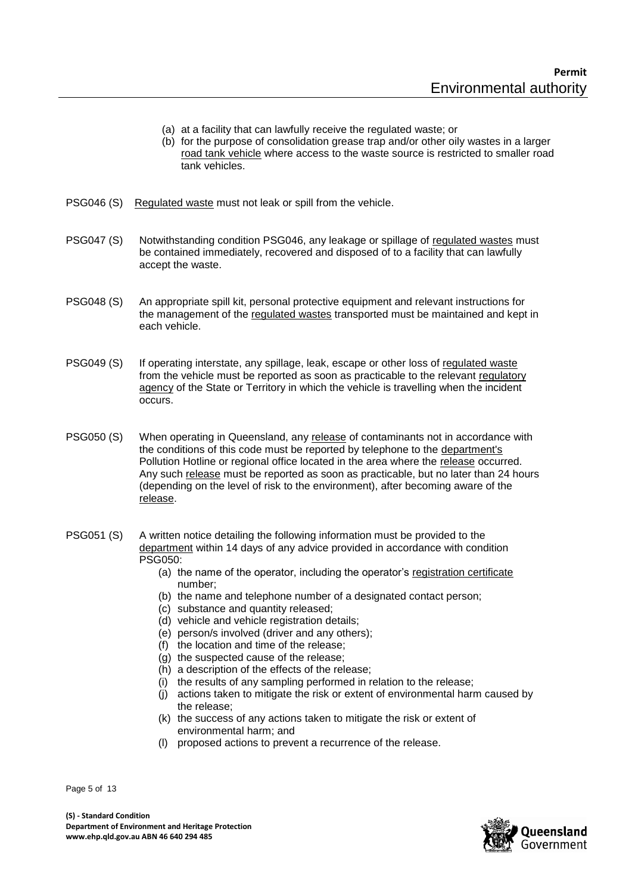- (a) at a facility that can lawfully receive the regulated waste; or
- (b) for the purpose of consolidation grease trap and/or other oily wastes in a larger road tank vehicle where access to the waste source is restricted to smaller road tank vehicles.
- PSG046 (S) Regulated waste must not leak or spill from the vehicle.
- PSG047 (S) Notwithstanding condition PSG046, any leakage or spillage of regulated wastes must be contained immediately, recovered and disposed of to a facility that can lawfully accept the waste.
- PSG048 (S) An appropriate spill kit, personal protective equipment and relevant instructions for the management of the regulated wastes transported must be maintained and kept in each vehicle.
- PSG049 (S) If operating interstate, any spillage, leak, escape or other loss of regulated waste from the vehicle must be reported as soon as practicable to the relevant regulatory agency of the State or Territory in which the vehicle is travelling when the incident occurs.
- PSG050 (S) When operating in Queensland, any release of contaminants not in accordance with the conditions of this code must be reported by telephone to the department's Pollution Hotline or regional office located in the area where the release occurred. Any such release must be reported as soon as practicable, but no later than 24 hours (depending on the level of risk to the environment), after becoming aware of the release.
- PSG051 (S) A written notice detailing the following information must be provided to the department within 14 days of any advice provided in accordance with condition PSG050:
	- (a) the name of the operator, including the operator's registration certificate number;
	- (b) the name and telephone number of a designated contact person;
	- (c) substance and quantity released;
	- (d) vehicle and vehicle registration details;
	- (e) person/s involved (driver and any others);
	- $(f)$  the location and time of the release:
	- $(a)$  the suspected cause of the release:
	- (h) a description of the effects of the release;
	- (i) the results of any sampling performed in relation to the release;
	- (j) actions taken to mitigate the risk or extent of environmental harm caused by the release;
	- (k) the success of any actions taken to mitigate the risk or extent of environmental harm; and
	- (l) proposed actions to prevent a recurrence of the release.

Page 5 of 13

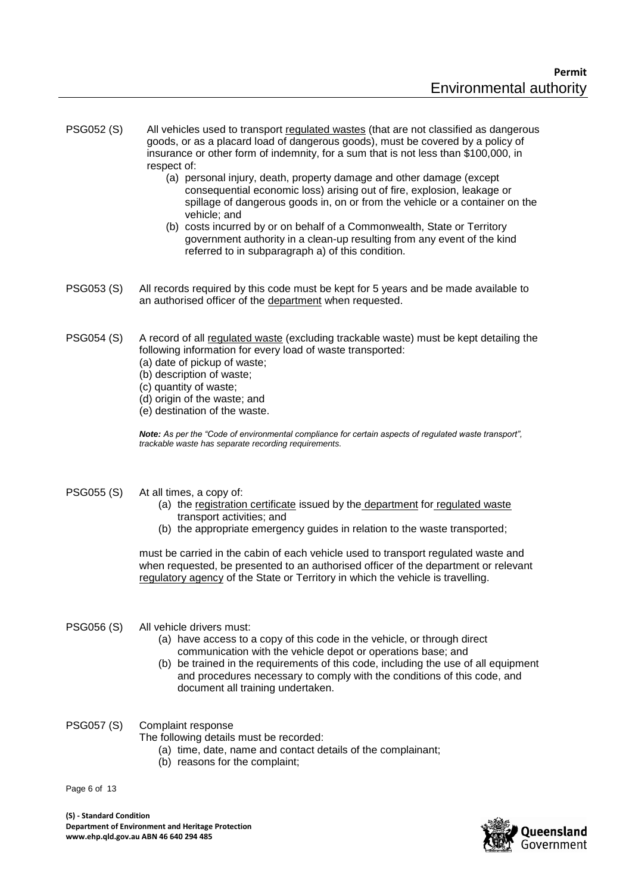- PSG052 (S) All vehicles used to transport regulated wastes (that are not classified as dangerous goods, or as a placard load of dangerous goods), must be covered by a policy of insurance or other form of indemnity, for a sum that is not less than \$100,000, in respect of:
	- (a) personal injury, death, property damage and other damage (except consequential economic loss) arising out of fire, explosion, leakage or spillage of dangerous goods in, on or from the vehicle or a container on the vehicle; and
	- (b) costs incurred by or on behalf of a Commonwealth, State or Territory government authority in a clean-up resulting from any event of the kind referred to in subparagraph a) of this condition.
- PSG053 (S) All records required by this code must be kept for 5 years and be made available to an authorised officer of the department when requested.
- PSG054 (S) A record of all regulated waste (excluding trackable waste) must be kept detailing the following information for every load of waste transported:
	- (a) date of pickup of waste;
	- (b) description of waste;
	- (c) quantity of waste;
	- (d) origin of the waste; and
	- (e) destination of the waste.

*Note: As per the "Code of environmental compliance for certain aspects of regulated waste transport", trackable waste has separate recording requirements.*

#### PSG055 (S) At all times, a copy of:

- (a) the registration certificate issued by the department for regulated waste transport activities; and
- (b) the appropriate emergency guides in relation to the waste transported;

must be carried in the cabin of each vehicle used to transport regulated waste and when requested, be presented to an authorised officer of the department or relevant regulatory agency of the State or Territory in which the vehicle is travelling.

#### PSG056 (S) All vehicle drivers must:

- (a) have access to a copy of this code in the vehicle, or through direct communication with the vehicle depot or operations base; and
- (b) be trained in the requirements of this code, including the use of all equipment and procedures necessary to comply with the conditions of this code, and document all training undertaken.
- PSG057 (S) Complaint response

The following details must be recorded:

- (a) time, date, name and contact details of the complainant;
- (b) reasons for the complaint;

Page 6 of 13

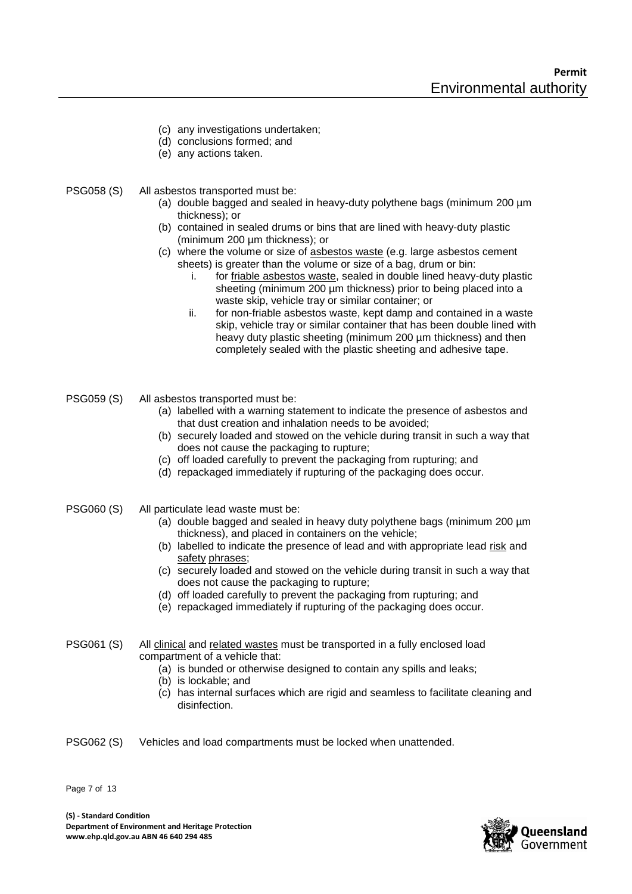- (c) any investigations undertaken;
- (d) conclusions formed; and
- (e) any actions taken.
- PSG058 (S) All asbestos transported must be:
	- (a) double bagged and sealed in heavy-duty polythene bags (minimum 200 µm thickness); or
	- (b) contained in sealed drums or bins that are lined with heavy-duty plastic (minimum 200 µm thickness); or
	- (c) where the volume or size of asbestos waste (e.g. large asbestos cement sheets) is greater than the volume or size of a bag, drum or bin:
		- i. for friable asbestos waste, sealed in double lined heavy-duty plastic sheeting (minimum 200 µm thickness) prior to being placed into a waste skip, vehicle tray or similar container; or
		- ii. for non-friable asbestos waste, kept damp and contained in a waste skip, vehicle tray or similar container that has been double lined with heavy duty plastic sheeting (minimum 200 µm thickness) and then completely sealed with the plastic sheeting and adhesive tape.
- PSG059 (S) All asbestos transported must be:
	- (a) labelled with a warning statement to indicate the presence of asbestos and that dust creation and inhalation needs to be avoided;
	- (b) securely loaded and stowed on the vehicle during transit in such a way that does not cause the packaging to rupture;
	- (c) off loaded carefully to prevent the packaging from rupturing; and
	- (d) repackaged immediately if rupturing of the packaging does occur.
- PSG060 (S) All particulate lead waste must be:
	- (a) double bagged and sealed in heavy duty polythene bags (minimum 200 µm thickness), and placed in containers on the vehicle;
	- (b) labelled to indicate the presence of lead and with appropriate lead risk and safety phrases;
	- (c) securely loaded and stowed on the vehicle during transit in such a way that does not cause the packaging to rupture;
	- (d) off loaded carefully to prevent the packaging from rupturing; and
	- (e) repackaged immediately if rupturing of the packaging does occur.
- PSG061 (S) All clinical and related wastes must be transported in a fully enclosed load compartment of a vehicle that:
	- (a) is bunded or otherwise designed to contain any spills and leaks;
	- (b) is lockable; and
	- (c) has internal surfaces which are rigid and seamless to facilitate cleaning and disinfection.
- PSG062 (S) Vehicles and load compartments must be locked when unattended.

Page 7 of 13

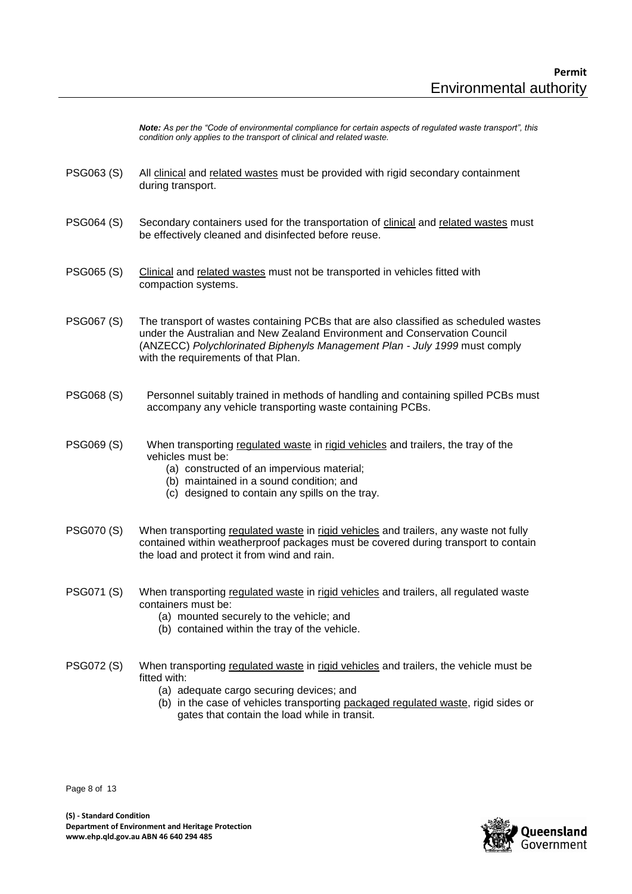*Note: As per the "Code of environmental compliance for certain aspects of regulated waste transport", this condition only applies to the transport of clinical and related waste.*

- PSG063 (S) All clinical and related wastes must be provided with rigid secondary containment during transport.
- PSG064 (S) Secondary containers used for the transportation of clinical and related wastes must be effectively cleaned and disinfected before reuse.
- PSG065 (S) Clinical and related wastes must not be transported in vehicles fitted with compaction systems.
- PSG067 (S) The transport of wastes containing PCBs that are also classified as scheduled wastes under the Australian and New Zealand Environment and Conservation Council (ANZECC) *Polychlorinated Biphenyls Management Plan - July 1999* must comply with the requirements of that Plan.
- PSG068 (S) Personnel suitably trained in methods of handling and containing spilled PCBs must accompany any vehicle transporting waste containing PCBs.
- PSG069 (S) When transporting regulated waste in rigid vehicles and trailers, the tray of the vehicles must be:
	- (a) constructed of an impervious material;
	- (b) maintained in a sound condition; and
	- (c) designed to contain any spills on the tray.
- PSG070 (S) When transporting regulated waste in rigid vehicles and trailers, any waste not fully contained within weatherproof packages must be covered during transport to contain the load and protect it from wind and rain.
- PSG071 (S) When transporting regulated waste in rigid vehicles and trailers, all regulated waste containers must be:
	- (a) mounted securely to the vehicle; and
	- (b) contained within the tray of the vehicle.
- PSG072 (S) When transporting regulated waste in rigid vehicles and trailers, the vehicle must be fitted with:
	- (a) adequate cargo securing devices; and
	- (b) in the case of vehicles transporting packaged regulated waste, rigid sides or gates that contain the load while in transit.

Page 8 of 13

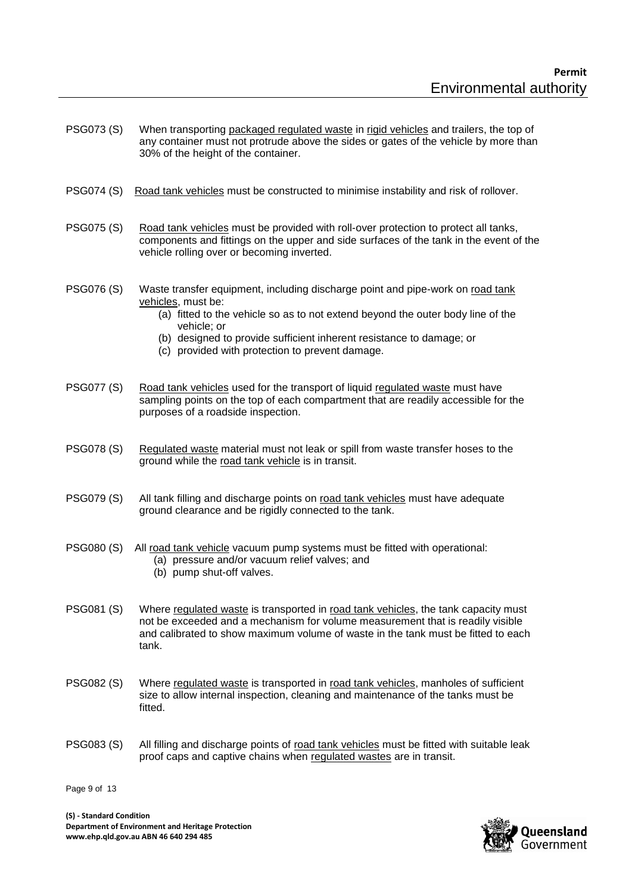- PSG073 (S) When transporting packaged regulated waste in rigid vehicles and trailers, the top of any container must not protrude above the sides or gates of the vehicle by more than 30% of the height of the container.
- PSG074 (S) Road tank vehicles must be constructed to minimise instability and risk of rollover.
- PSG075 (S) Road tank vehicles must be provided with roll-over protection to protect all tanks, components and fittings on the upper and side surfaces of the tank in the event of the vehicle rolling over or becoming inverted.
- PSG076 (S) Waste transfer equipment, including discharge point and pipe-work on road tank vehicles, must be:
	- (a) fitted to the vehicle so as to not extend beyond the outer body line of the vehicle; or
	- (b) designed to provide sufficient inherent resistance to damage; or
	- (c) provided with protection to prevent damage.
- PSG077 (S) Road tank vehicles used for the transport of liquid regulated waste must have sampling points on the top of each compartment that are readily accessible for the purposes of a roadside inspection.
- PSG078 (S) Regulated waste material must not leak or spill from waste transfer hoses to the ground while the road tank vehicle is in transit.
- PSG079 (S) All tank filling and discharge points on road tank vehicles must have adequate ground clearance and be rigidly connected to the tank.
- PSG080 (S) All road tank vehicle vacuum pump systems must be fitted with operational:
	- (a) pressure and/or vacuum relief valves; and
	- (b) pump shut-off valves.
- PSG081 (S) Where regulated waste is transported in road tank vehicles, the tank capacity must not be exceeded and a mechanism for volume measurement that is readily visible and calibrated to show maximum volume of waste in the tank must be fitted to each tank.
- PSG082 (S) Where regulated waste is transported in road tank vehicles, manholes of sufficient size to allow internal inspection, cleaning and maintenance of the tanks must be fitted.
- PSG083 (S) All filling and discharge points of road tank vehicles must be fitted with suitable leak proof caps and captive chains when regulated wastes are in transit.

Page 9 of 13

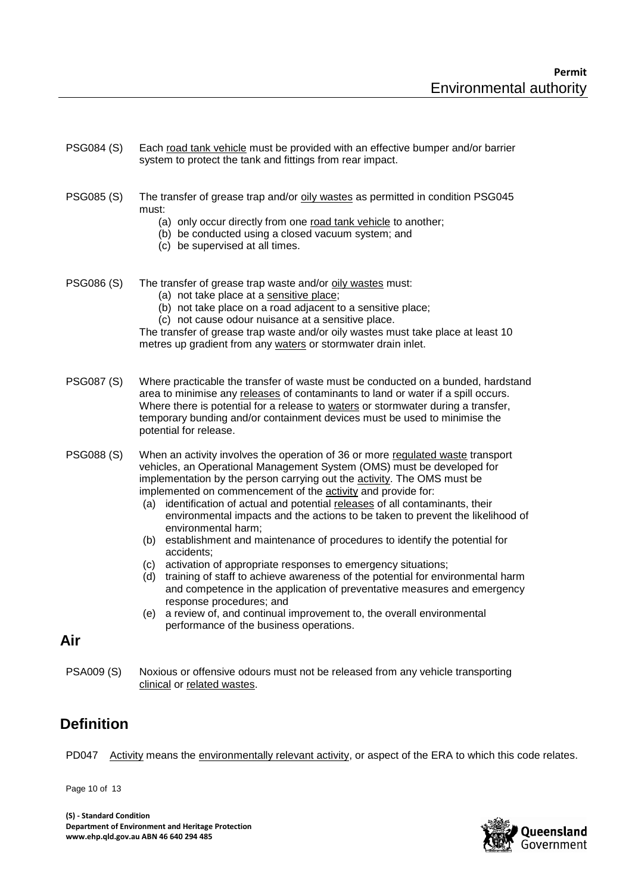- PSG084 (S) Each road tank vehicle must be provided with an effective bumper and/or barrier system to protect the tank and fittings from rear impact.
- PSG085 (S) The transfer of grease trap and/or oily wastes as permitted in condition PSG045 must:
	- (a) only occur directly from one road tank vehicle to another;
	- (b) be conducted using a closed vacuum system; and
	- (c) be supervised at all times.
- PSG086 (S) The transfer of grease trap waste and/or oily wastes must:
	- (a) not take place at a sensitive place;
	- (b) not take place on a road adjacent to a sensitive place;
	- (c) not cause odour nuisance at a sensitive place.

The transfer of grease trap waste and/or oily wastes must take place at least 10 metres up gradient from any waters or stormwater drain inlet.

- PSG087 (S) Where practicable the transfer of waste must be conducted on a bunded, hardstand area to minimise any releases of contaminants to land or water if a spill occurs. Where there is potential for a release to waters or stormwater during a transfer, temporary bunding and/or containment devices must be used to minimise the potential for release.
- PSG088 (S) When an activity involves the operation of 36 or more regulated waste transport vehicles, an Operational Management System (OMS) must be developed for implementation by the person carrying out the activity. The OMS must be implemented on commencement of the **activity** and provide for:
	- (a) identification of actual and potential releases of all contaminants, their environmental impacts and the actions to be taken to prevent the likelihood of environmental harm;
	- (b) establishment and maintenance of procedures to identify the potential for accidents;
	- (c) activation of appropriate responses to emergency situations;
	- (d) training of staff to achieve awareness of the potential for environmental harm and competence in the application of preventative measures and emergency response procedures; and
	- (e) a review of, and continual improvement to, the overall environmental performance of the business operations.

## **Air**

PSA009 (S) Noxious or offensive odours must not be released from any vehicle transporting clinical or related wastes.

# **Definition**

PD047 Activity means the environmentally relevant activity, or aspect of the ERA to which this code relates.

Page 10 of 13

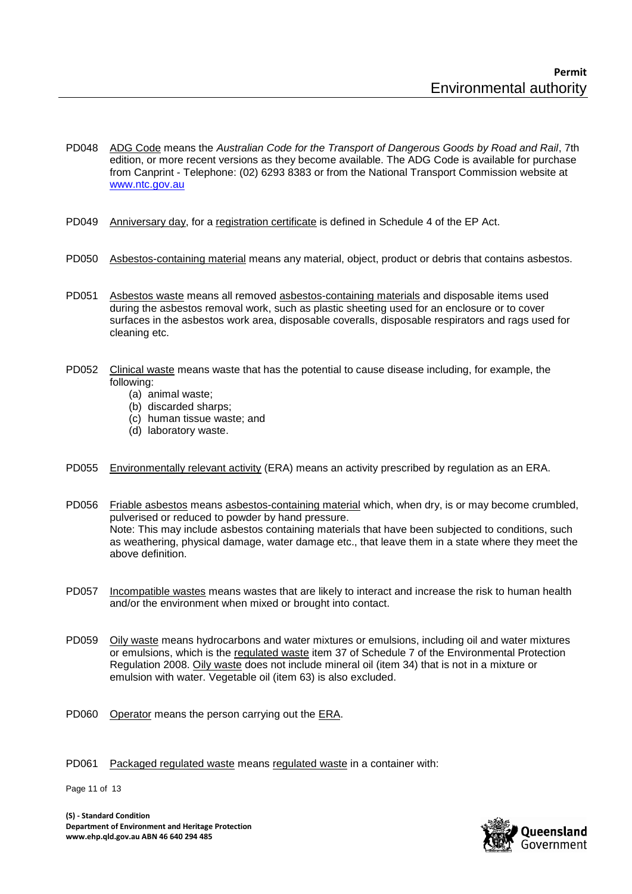- PD048 ADG Code means the *Australian Code for the Transport of Dangerous Goods by Road and Rail*, 7th edition, or more recent versions as they become available. The ADG Code is available for purchase from Canprint - Telephone: (02) 6293 8383 or from the National Transport Commission website at [www.ntc.gov.au](http://www.ntc.gov.au/)
- PD049 Anniversary day, for a registration certificate is defined in Schedule 4 of the EP Act.
- PD050 Asbestos-containing material means any material, object, product or debris that contains asbestos.
- PD051 Asbestos waste means all removed asbestos-containing materials and disposable items used during the asbestos removal work, such as plastic sheeting used for an enclosure or to cover surfaces in the asbestos work area, disposable coveralls, disposable respirators and rags used for cleaning etc.
- PD052 Clinical waste means waste that has the potential to cause disease including, for example, the following:
	- (a) animal waste;
	- (b) discarded sharps;
	- (c) human tissue waste; and
	- (d) laboratory waste.
- PD055 Environmentally relevant activity (ERA) means an activity prescribed by regulation as an ERA.
- PD056 Friable asbestos means asbestos-containing material which, when dry, is or may become crumbled, pulverised or reduced to powder by hand pressure. Note: This may include asbestos containing materials that have been subjected to conditions, such as weathering, physical damage, water damage etc., that leave them in a state where they meet the above definition.
- PD057 Incompatible wastes means wastes that are likely to interact and increase the risk to human health and/or the environment when mixed or brought into contact.
- PD059 Oily waste means hydrocarbons and water mixtures or emulsions, including oil and water mixtures or emulsions, which is the regulated waste item 37 of Schedule 7 of the Environmental Protection Regulation 2008. Oily waste does not include mineral oil (item 34) that is not in a mixture or emulsion with water. Vegetable oil (item 63) is also excluded.
- PD060 Operator means the person carrying out the ERA.
- PD061 Packaged regulated waste means regulated waste in a container with:

Page 11 of 13

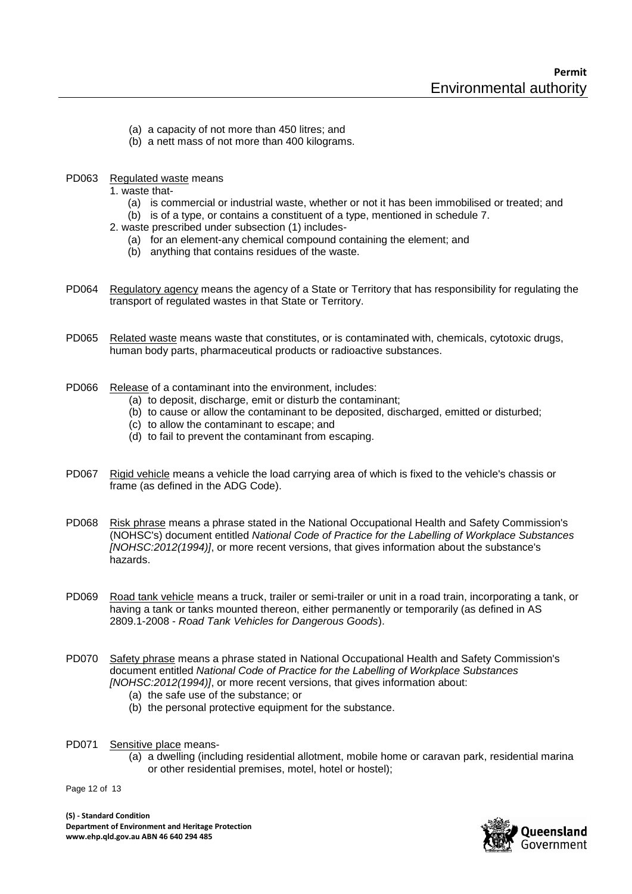- (a) a capacity of not more than 450 litres; and
- (b) a nett mass of not more than 400 kilograms.
- PD063 Regulated waste means
	- 1. waste that-
		- (a) is commercial or industrial waste, whether or not it has been immobilised or treated; and
		- (b) is of a type, or contains a constituent of a type, mentioned in schedule 7.
	- 2. waste prescribed under subsection (1) includes-
		- (a) for an element-any chemical compound containing the element; and
		- (b) anything that contains residues of the waste.
- PD064 Regulatory agency means the agency of a State or Territory that has responsibility for regulating the transport of regulated wastes in that State or Territory.
- PD065 Related waste means waste that constitutes, or is contaminated with, chemicals, cytotoxic drugs, human body parts, pharmaceutical products or radioactive substances.
- PD066 Release of a contaminant into the environment, includes:
	- (a) to deposit, discharge, emit or disturb the contaminant;
	- (b) to cause or allow the contaminant to be deposited, discharged, emitted or disturbed;
	- (c) to allow the contaminant to escape; and
	- (d) to fail to prevent the contaminant from escaping.
- PD067 Rigid vehicle means a vehicle the load carrying area of which is fixed to the vehicle's chassis or frame (as defined in the ADG Code).
- PD068 Risk phrase means a phrase stated in the National Occupational Health and Safety Commission's (NOHSC's) document entitled *National Code of Practice for the Labelling of Workplace Substances [NOHSC:2012(1994)]*, or more recent versions, that gives information about the substance's hazards.
- PD069 Road tank vehicle means a truck, trailer or semi-trailer or unit in a road train, incorporating a tank, or having a tank or tanks mounted thereon, either permanently or temporarily (as defined in AS 2809.1-2008 - *Road Tank Vehicles for Dangerous Goods*).
- PD070 Safety phrase means a phrase stated in National Occupational Health and Safety Commission's document entitled *National Code of Practice for the Labelling of Workplace Substances [NOHSC:2012(1994)]*, or more recent versions, that gives information about:
	- (a) the safe use of the substance; or
	- (b) the personal protective equipment for the substance.
- PD071 Sensitive place means-
	- (a) a dwelling (including residential allotment, mobile home or caravan park, residential marina or other residential premises, motel, hotel or hostel);

Page 12 of 13